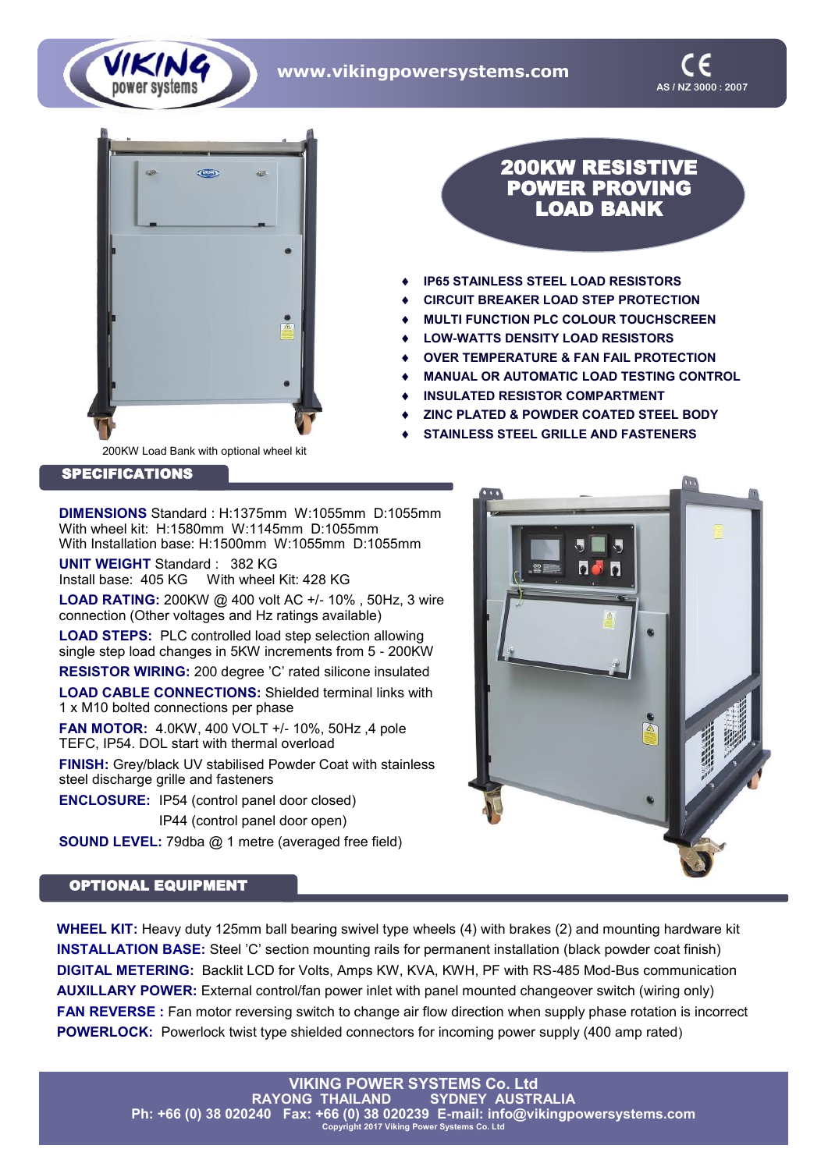**www.vikingpowersystems.com**





## 200KW RESISTIVE POWER PROVING LOAD BANK

- **IP65 STAINLESS STEEL LOAD RESISTORS**
- **CIRCUIT BREAKER LOAD STEP PROTECTION**
- **MULTI FUNCTION PLC COLOUR TOUCHSCREEN**
- **LOW-WATTS DENSITY LOAD RESISTORS**
- **OVER TEMPERATURE & FAN FAIL PROTECTION**
- **MANUAL OR AUTOMATIC LOAD TESTING CONTROL**
- **INSULATED RESISTOR COMPARTMENT**
- **ZINC PLATED & POWDER COATED STEEL BODY**
- **STAINLESS STEEL GRILLE AND FASTENERS**

200KW Load Bank with optional wheel kit

SPECIFICATIONS

**DIMENSIONS** Standard : H:1375mm W:1055mm D:1055mm With wheel kit: H:1580mm W:1145mm D:1055mm With Installation base: H:1500mm W:1055mm D:1055mm

**UNIT WEIGHT** Standard : 382 KG Install base: 405 KG With wheel Kit: 428 KG

**LOAD RATING:** 200KW @ 400 volt AC +/- 10% , 50Hz, 3 wire connection (Other voltages and Hz ratings available)

**LOAD STEPS:** PLC controlled load step selection allowing single step load changes in 5KW increments from 5 - 200KW

**RESISTOR WIRING:** 200 degree 'C' rated silicone insulated

**LOAD CABLE CONNECTIONS:** Shielded terminal links with 1 x M10 bolted connections per phase

**FAN MOTOR:** 4.0KW, 400 VOLT +/- 10%, 50Hz ,4 pole TEFC, IP54. DOL start with thermal overload

**FINISH:** Grey/black UV stabilised Powder Coat with stainless steel discharge grille and fasteners

**ENCLOSURE:** IP54 (control panel door closed)

IP44 (control panel door open)

**SOUND LEVEL:** 79dba @ 1 metre (averaged free field)

## OPTIONAL EQUIPMENT

**WHEEL KIT:** Heavy duty 125mm ball bearing swivel type wheels (4) with brakes (2) and mounting hardware kit **INSTALLATION BASE:** Steel 'C' section mounting rails for permanent installation (black powder coat finish) **DIGITAL METERING:** Backlit LCD for Volts, Amps KW, KVA, KWH, PF with RS-485 Mod-Bus communication **AUXILLARY POWER:** External control/fan power inlet with panel mounted changeover switch (wiring only) **FAN REVERSE :** Fan motor reversing switch to change air flow direction when supply phase rotation is incorrect **POWERLOCK:** Powerlock twist type shielded connectors for incoming power supply (400 amp rated)